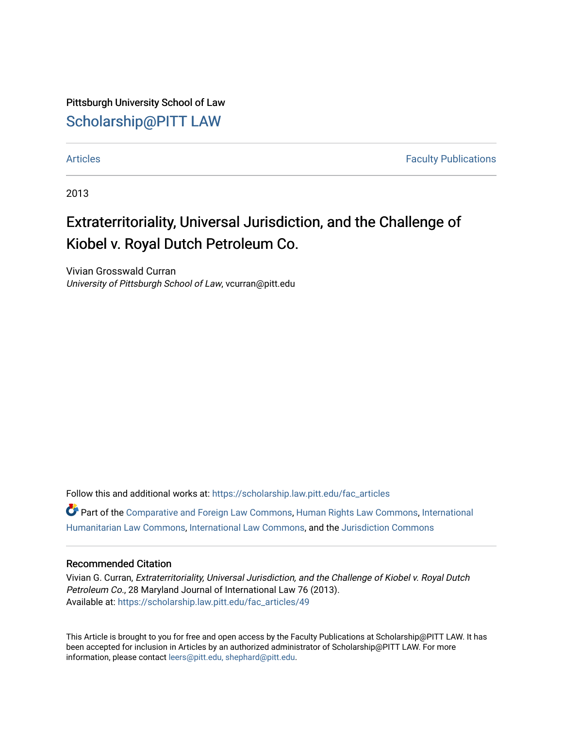Pittsburgh University School of Law [Scholarship@PITT LAW](https://scholarship.law.pitt.edu/)

[Articles](https://scholarship.law.pitt.edu/fac_articles) **Faculty Publications** 

2013

# Extraterritoriality, Universal Jurisdiction, and the Challenge of Kiobel v. Royal Dutch Petroleum Co.

Vivian Grosswald Curran University of Pittsburgh School of Law, vcurran@pitt.edu

Follow this and additional works at: [https://scholarship.law.pitt.edu/fac\\_articles](https://scholarship.law.pitt.edu/fac_articles?utm_source=scholarship.law.pitt.edu%2Ffac_articles%2F49&utm_medium=PDF&utm_campaign=PDFCoverPages)

Part of the [Comparative and Foreign Law Commons,](http://network.bepress.com/hgg/discipline/836?utm_source=scholarship.law.pitt.edu%2Ffac_articles%2F49&utm_medium=PDF&utm_campaign=PDFCoverPages) [Human Rights Law Commons,](http://network.bepress.com/hgg/discipline/847?utm_source=scholarship.law.pitt.edu%2Ffac_articles%2F49&utm_medium=PDF&utm_campaign=PDFCoverPages) [International](http://network.bepress.com/hgg/discipline/1330?utm_source=scholarship.law.pitt.edu%2Ffac_articles%2F49&utm_medium=PDF&utm_campaign=PDFCoverPages)  [Humanitarian Law Commons,](http://network.bepress.com/hgg/discipline/1330?utm_source=scholarship.law.pitt.edu%2Ffac_articles%2F49&utm_medium=PDF&utm_campaign=PDFCoverPages) [International Law Commons](http://network.bepress.com/hgg/discipline/609?utm_source=scholarship.law.pitt.edu%2Ffac_articles%2F49&utm_medium=PDF&utm_campaign=PDFCoverPages), and the [Jurisdiction Commons](http://network.bepress.com/hgg/discipline/850?utm_source=scholarship.law.pitt.edu%2Ffac_articles%2F49&utm_medium=PDF&utm_campaign=PDFCoverPages)

#### Recommended Citation

Vivian G. Curran, Extraterritoriality, Universal Jurisdiction, and the Challenge of Kiobel v. Royal Dutch Petroleum Co., 28 Maryland Journal of International Law 76 (2013). Available at: [https://scholarship.law.pitt.edu/fac\\_articles/49](https://scholarship.law.pitt.edu/fac_articles/49?utm_source=scholarship.law.pitt.edu%2Ffac_articles%2F49&utm_medium=PDF&utm_campaign=PDFCoverPages) 

This Article is brought to you for free and open access by the Faculty Publications at Scholarship@PITT LAW. It has been accepted for inclusion in Articles by an authorized administrator of Scholarship@PITT LAW. For more information, please contact [leers@pitt.edu, shephard@pitt.edu.](mailto:leers@pitt.edu,%20shephard@pitt.edu)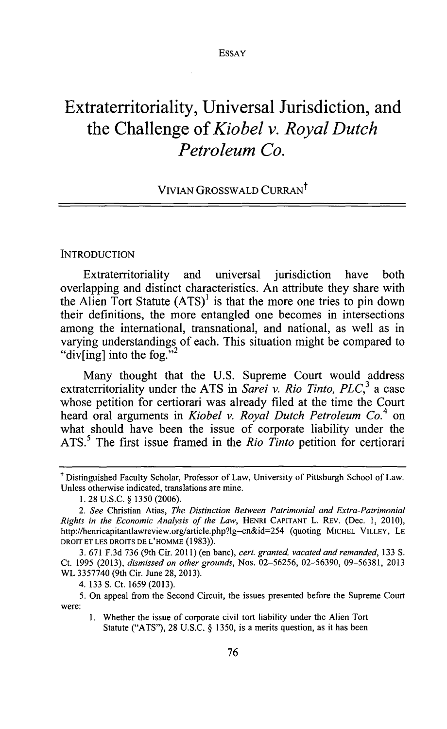## **Extraterritoriality, Universal Jurisdiction, and the Challenge** *of Kiobel v. Royal Dutch Petroleum Co.*

## VIVIAN GROSSWALD CURRAN<sup>t</sup>

#### **INTRODUCTION**

Extraterritoriality and universal jurisdiction have both overlapping and distinct characteristics. An attribute they share with the Alien Tort Statute  $(ATS)^{1}$  is that the more one tries to pin down their definitions, the more entangled one becomes in intersections among the international, transnational, and national, as well as in varying understandings of each. This situation might be compared to "div[ing] into the fog."  $\frac{2}{3}$ 

Many thought that the **U.S.** Supreme Court would address extraterritoriality under the ATS in *Sarei v. Rio Tinto, PLC*,<sup>3</sup> a case whose petition for certiorari was already filed at the time the Court heard oral arguments in *Kiobel v. Royal Dutch Petroleum Co.4* on what should have been the issue of corporate liability under the **ATS.5** The first issue framed in the *Rio Tinto* petition for certiorari

t Distinguished Faculty Scholar, Professor of Law, University of Pittsburgh School of Law. Unless otherwise indicated, translations are mine.

**<sup>1. 28</sup> U.S.C. § 1350 (2006).**

*<sup>2.</sup> See* Christian Atias, *The Distinction Between Patrimonial and Extra-Patrimonial Rights in the Economic Analysis of the Law,* **HENRI CAPITANT** L. REv. (Dec. **1,** 2010), http://henricapitantlawreview.org/article.php?lg=en&id=254 (quoting **MICHEL VILLEY, LE DROIT ET LES DROITS DE L'HOMME (1983)).**

**<sup>3. 671</sup> F.3d 736** (9th Cir. **2011)** (en banc), *cert. granted, vacated and remanded,* **133 S.** Ct. **1995 (2013),** *dismissed on other grounds,* Nos. **02-56256, 02-56390, 09-56381, 2013** WL **3357740** (9th Cir. June **28, 2013).**

<sup>4.</sup> **133 S.** Ct. **1659 (2013).**

**<sup>5.</sup>** On appeal from the Second Circuit, the issues presented before the Supreme Court were:

**<sup>1.</sup>** Whether the issue of corporate civil tort liability under the Alien Tort Statute **("ATS"), 28 U.S.C. § 1350,** is a merits question, as **it** has been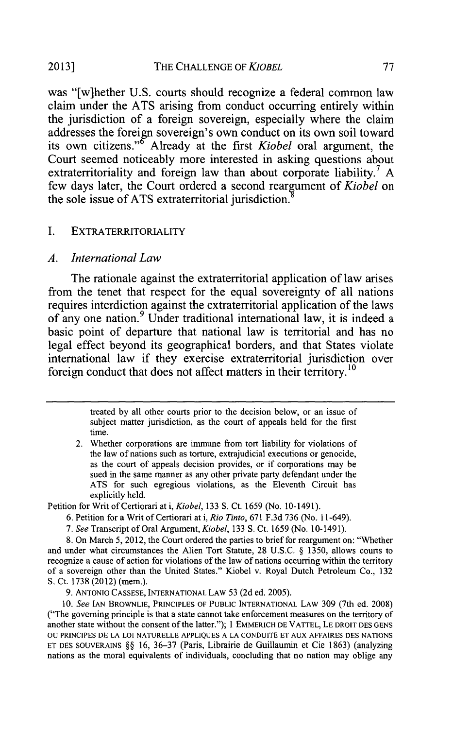#### **2013]** THE **CHALLENGE** OF *KIOBEL* **77**

was "[w]hether **U.S.** courts should recognize a federal common law claim under the **ATS** arising from conduct occurring entirely within the jurisdiction of a foreign sovereign, especially where the claim addresses the foreign sovereign's own conduct on its own soil toward its own citizens." Already at the first *Kiobel* oral argument, the Court seemed noticeably more interested in asking questions about extraterritoriality and foreign law than about corporate liability.<sup>7</sup> A few days later, the Court ordered a second reargument of *Kiobel* on the sole issue of **ATS** extraterritorial jurisdiction.

#### **I.** EXTRATERRITORIALITY

#### *A. International Law*

The rationale against the extraterritorial application of law arises from the tenet that respect for the equal sovereignty of all nations requires interdiction against the extraterritorial application of the laws of any one nation.9 Under traditional international law, it is indeed a basic point of departure that national law is territorial and has no legal effect beyond its geographical borders, and that States violate international law if they exercise extraterritorial jurisdiction over foreign conduct that does not affect matters in their territory.<sup>10</sup>

> treated **by** all other courts prior to the decision below, or an issue of subject matter jurisdiction, as the court of appeals held for the first time.

2. Whether corporations are immune from tort liability for violations of the law of nations such as torture, extrajudicial executions or genocide, as the court of appeals decision provides, or if corporations may be sued in the same manner as any other private party defendant under the **ATS** for such egregious violations, as the Eleventh Circuit has explicitly held.

Petition for Writ of Certiorari at i, *Kiobel,* **133 S.** Ct. **1659** (No. **10-1491).**

- **6.** Petition for a Writ of Certiorari at i, *Rio Tinto,* **671 F.3d 736** (No. 11-649).
- *7. See* Transcript of Oral Argument, *Kiobel,* **133 S.** Ct. **1659** (No. 10-1491).

**8.** On March **5,** 2012, the Court ordered the parties to brief for reargument on: "Whether and under what circumstances the Alien Tort Statute, **28 U.S.C. § 1350,** allows courts to recognize a cause of action for violations of the law of nations occurring within the territory of a sovereign other than the United States." Kiobel v. Royal Dutch Petroleum Co., **132 S.** Ct. **1738** (2012) (mem.).

**9. ANTONIO CASSESE, INTERNATIONAL LAw 53 (2d** ed. **2005).**

*10. See IAN* **BROWNLIE, PRINCIPLES OF PUBLIC INTERNATIONAL LAw 309** (7th **ed. 2008)** ("The governing principle is that a state cannot take enforcement measures on the territory of another state without the consent of the latter."); 1 **EMMERICH DE VATrEL, LE DROIT DES GENS OU PRINCIPES DE LA LOI NATURELLE APPLIQUES A LA CONDUITE ET AUX AFFAIRES DES NATIONS ET DES SOUVERAINS §§ 16, 36-37** (Paris, Librairie de Guillaumin et Cie **1863)** (analyzing **nations as the** moral equivalents of individuals, concluding that no nation may oblige any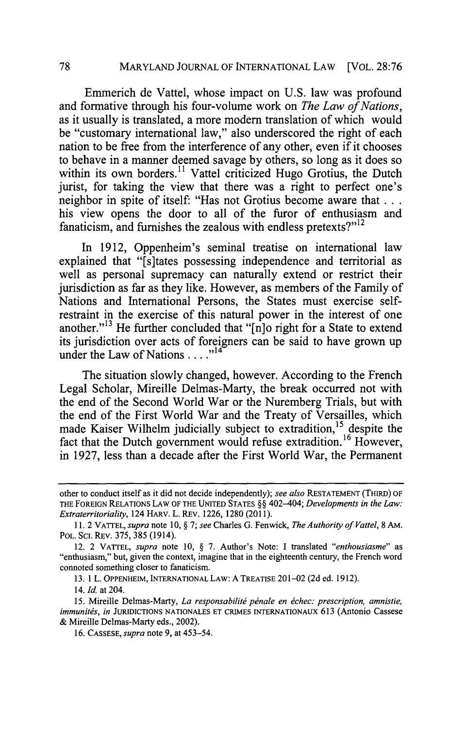Emmerich de Vattel, whose impact on **U.S.** law was profound and formative through his four-volume work on *The Law of Nations,* as it usually is translated, a more modem translation of which would be "customary international law," also underscored the right of each nation to be free from the interference of any other, even if it chooses to behave in a manner deemed savage **by** others, so long as it does so within its own borders." Vattel criticized Hugo Grotius, the Dutch jurist, for taking the view that there was a right to perfect one's neighbor in spite of itself: "Has not Grotius become aware that **...** his view opens the door to all of the furor of enthusiasm and fanaticism, and furnishes the zealous with endless pretexts?"<sup>12</sup>

In **1912,** Oppenheim's seminal treatise on international law explained that "[sltates possessing independence and territorial as well as personal supremacy can naturally extend or restrict their jurisdiction as far as they like. However, as members of the Family of Nations and International Persons, the States must exercise selfrestraint in the exercise of this natural power in the interest of one another."13 He further concluded that "[n]o right for a State to extend its jurisdiction over acts of foreigners can be said to have grown up under the Law of Nations. **. . ."l4**

The situation slowly changed, however. According to the French Legal Scholar, Mireille Delmas-Marty, the break occurred not with the end of the Second World War or the Nuremberg Trials, but with the end of the First World War and the Treaty of Versailles, which made Kaiser Wilhelm judicially subject to extradition,<sup>15</sup> despite the fact that the Dutch government would refuse extradition.<sup>16</sup> However, in **1927,** less than a decade after the First World War, the Permanent

**13. 1** L. **OPPENHEIM, INTERNATIONAL** LAW: **A** TREATISE 201-02 **(2d** ed. **1912).**

*14. Id.* at 204.

**15.** Mireille Delmas-Marty, *La responsabilit6 pdnale en dchec: prescription, amnistie, immunitis, in* **JURIDICTIONS NATIONALES ET** CRIMES INTERNATIONAUX **613** (Antonio Cassese **&** Mireille Delmas-Marty eds., 2002).

**16. CASSESE,** *supra* note **9,** at *453-54.*

other to conduct itself as it did not decide independently); *see also* **RESTATEMENT** (THIRD) OF THE **FOREIGN** RELATIONS LAW OF THE **UNITED STATES §§** *402-404; Developments in the Law: Extraterritoriality,* 124 HARV. L. REv. **1226, 1280 (2011).**

**<sup>11.</sup>** 2 VATTEL, *supra* note **10, §** *7; see* Charles *G.* Fenwick, *The Authority of Vattel,* **8** AM. POL. SC. REv. *375,* **385** (1914).

<sup>12. 2</sup> VATTEL, *supra note* **10, § 7.** Author's Note: **I** *translated "enthousiasme" as* "enthusiasm," but, given the context, imagine that in the eighteenth century, the French word connoted something closer to fanaticism.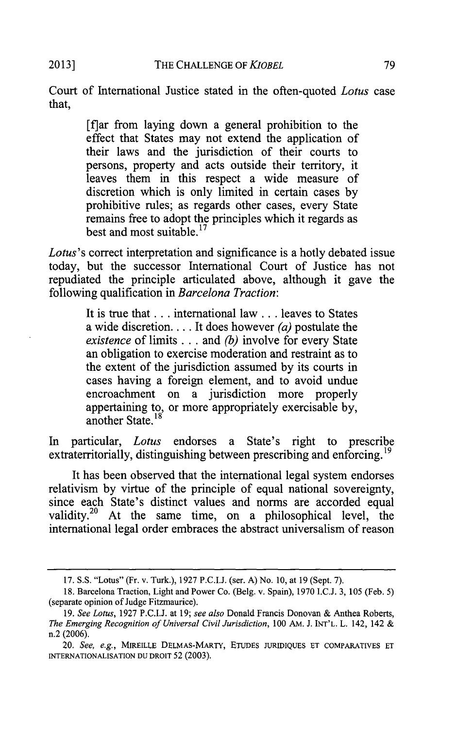Court of International Justice stated in the often-quoted *Lotus* case that,

> [flar from laying down a general prohibition to the effect that States may not extend the application of their laws and the jurisdiction of their courts to persons, property and acts outside their territory, it leaves them in this respect a wide measure of discretion which is only limited in certain cases **by** prohibitive rules; as regards other cases, every State remains free to adopt the principles which it regards as best and most suitable.<sup>17</sup>

*Lotus's* correct interpretation and significance is a hotly debated issue today, but the successor International Court of Justice has not repudiated the principle articulated above, although it gave the following qualification in *Barcelona Traction:*

> It is true that .. **.** international law .. **.** leaves to States a wide discretion. **.** . **.** It does however *(a)* postulate the *existence* of limits **. ..** and *(b)* involve for every State an obligation to exercise moderation and restraint as to the extent of the jurisdiction assumed **by** its courts in cases having a foreign element, and to avoid undue encroachment on a jurisdiction more properly appertaining to, or more appropriately exercisable **by,** another State.<sup>18</sup>

In particular, *Lotus* endorses a State's right to prescribe extraterritorially, distinguishing between prescribing and enforcing.<sup>19</sup>

It has been observed that the international legal system endorses relativism **by** virtue of the principle of equal national sovereignty, since each State's distinct values and norms are accorded equal validity.<sup>20</sup> At the same time, on a philosophical level, the international legal order embraces the abstract universalism of reason

**<sup>17.</sup> S.S.** "Lotus" (Fr. v. Turk.), **1927 P.C.I.J.** (ser. **A)** No. **10,** at **19** (Sept. **7).**

**<sup>18.</sup>** Barcelona Traction, Light and Power Co. (Belg. v. Spain), **1970 I.C.J. 3, 105** (Feb. **5)** (separate opinion of Judge Fitzmaurice).

*<sup>19.</sup> See Lotus,* **1927 P.C.I.J.** at **19;** *see also* Donald Francis Donovan **&** Anthea Roberts, *The Emerging Recognition of Universal Civil Jurisdiction, 100* AM. **J. INT'L.** L. 142, 142 **& n.2 (2006).**

*<sup>20.</sup> See, e.g.,* **MIREILLE DELMAS-MARTY, ETUDES JURIDIQUES ET COMPARATIVES ET INTERNATIONALISATION DU DROIT 52 (2003).**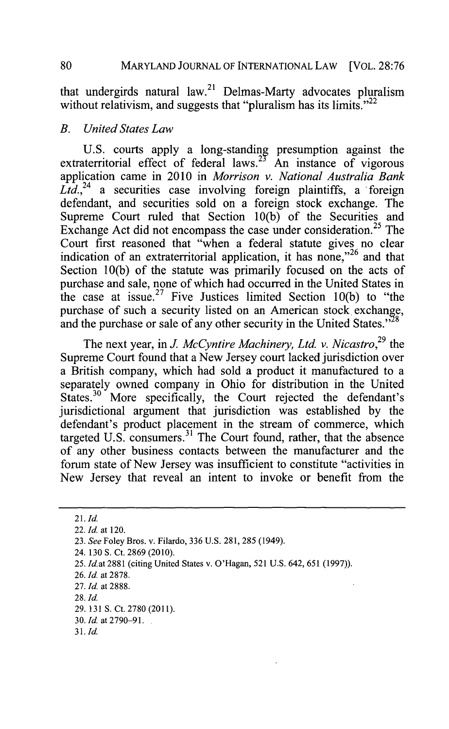that undergirds natural law.<sup>21</sup> Delmas-Marty advocates pluralism without relativism, and suggests that "pluralism has its limits." $^{22}$ 

#### *B. United States Law*

**U.S.** courts apply a long-standing presumption against the extraterritorial effect of federal laws.<sup>23</sup> An instance of vigorous application came in 2010 in *Morrison v. National Australia Bank* Ltd.<sup>24</sup> a securities case involving foreign plaintiffs, a foreign defendant, and securities sold on a foreign stock exchange. The Supreme Court ruled that Section **10(b)** of the Securities and Exchange Act did not encompass the case under consideration.<sup>25</sup> The Court first reasoned that "when a federal statute gives no clear indication of an extraterritorial application, it has none," $26$  and that Section **10(b)** of the statute was primarily focused on the acts of purchase and sale, none of which had occurred in the United States in the case at issue. 27 Five Justices limited Section **10(b)** to "the purchase of such a security listed on an American stock exchange, and the purchase or sale of any other security in the United States." $^{28}$ 

The next year, in *J. McCyntire Machinery, Ltd. v. Nicastro*<sup>29</sup> the Supreme Court found that a New Jersey court lacked jurisdiction over a British company, which had sold a product it manufactured to a separately owned company in Ohio for distribution in the United States.<sup>30</sup> More specifically, the Court rejected the defendant's jurisdictional argument that jurisdiction was established **by** the defendant's product placement in the stream of commerce, which targeted U.S. consumers.<sup>31</sup> The Court found, rather, that the absence of any other business contacts between the manufacturer and the forum state of New Jersey was insufficient to constitute "activities in New Jersey that reveal an intent to invoke or benefit from the

 $21.$  *Id.* 

<sup>22.</sup> *Id. at* 120.

*<sup>23.</sup> See* Foley Bros. v. Filardo, **336 U.S. 281, 285** (1949).

<sup>24.</sup> **130 S.** Ct. **2869** (2010).

**<sup>25.</sup>** *Id.at* **2881** (citing United States v. O'Hagan, **521 U.S.** 642, *651* **(1997)).**

**<sup>26.</sup>** *Id. at* **2878.**

**<sup>27.</sup>** *Id. at* **2888.**

**<sup>28.</sup>** *Id.*

**<sup>29. 131</sup> S.** Ct. **2780 (2011).**

<sup>30.</sup> Id. at 2790-91.

**<sup>3</sup>** *1. Id.*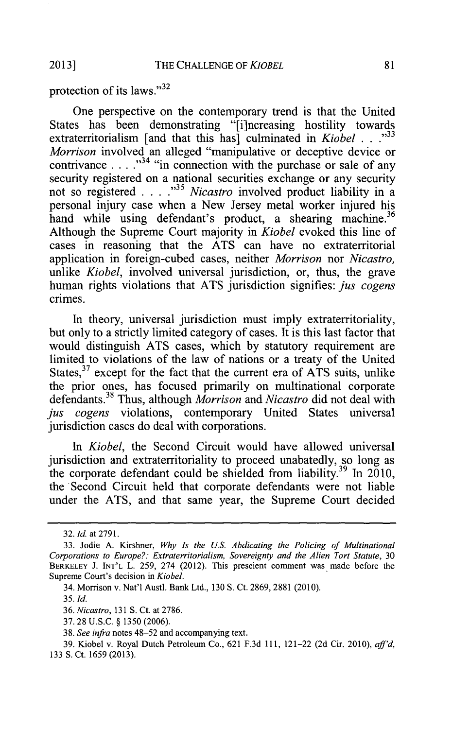protection of its laws."<sup>32</sup>

One perspective on the contemporary trend is that the United States has been demonstrating "[i]ncreasing hostility towards extraterritorialism [and that this has] culminated in *Kiobel* **. . ."33** *Morrison* involved an alleged "manipulative or deceptive device or contrivance  $\ldots$   $\ldots$  <sup>334</sup> "in connection with the purchase or sale of any security registered on a national securities exchange or any security not so registered **. . .** *."3 Nicastro* involved product liability in a personal injury case when a New Jersey metal worker injured his hand while using defendant's product, a shearing machine.<sup>36</sup> Although the Supreme Court majority in *Kiobel* evoked this line of cases in reasoning that the **ATS** can have no extraterritorial application in foreign-cubed cases, neither *Morrison nor Nicastro,* unlike *Kiobel*, involved universal jurisdiction, or, thus, the grave human rights violations that **ATS** jurisdiction signifies: *jus cogens* crimes.

In theory, universal jurisdiction must imply extraterritoriality, but only to a strictly limited category of cases. It is this last factor that would distinguish **ATS** cases, which **by** statutory requirement are limited to violations of the law of nations or a treaty of the United States, 37 except for the fact that the current era of **ATS** suits, unlike the prior ones, has focused primarily on multinational corporate defendants.<sup>38</sup> Thus, although *Morrison* and *Nicastro* did not deal with *jus cogens* violations, contemporary United States universal jurisdiction cases do deal with corporations.

*In Kiobel,* the Second Circuit would have allowed universal jurisdiction and extraterritoriality to proceed unabatedly, so long as the corporate defendant could be shielded from liability.<sup>39</sup> In 2010, the Second Circuit held that corporate defendants were not liable under the **ATS,** and that same year, the Supreme Court decided

**37. 28 U.S.C. § 1350 (2006).**

*<sup>32.</sup> Id. at* **2791.**

**<sup>33.</sup>** Jodie **A.** Kirshner, *Why Is the U.S. Abdicating the Policing of Multinational Corporations to Europe?: Extraterritorialism, Sovereignty and the Alien Tort Statute, 30* **BERKELEY J. INT'L** L. **259,** 274 (2012). This prescient comment was made before the Supreme Court's decision in *Kiobel.*

<sup>34.</sup> Morrison v. Nat'l Austl. Bank Ltd., **130 S.** Ct. **2869, 2881** (2010).

*<sup>35.</sup> Id.*

*<sup>36.</sup> Nicastro,* **131 S.** Ct. at **2786.**

*<sup>38.</sup> See infra* notes 48-52 and accompanying text.

**<sup>39.</sup>** Kiobel v. Royal Dutch Petroleum Co., **621 F.3d 111,** 121-22 **(2d** Cir. *2010), aff'd,* **133 S.** Ct. **1659 (2013).**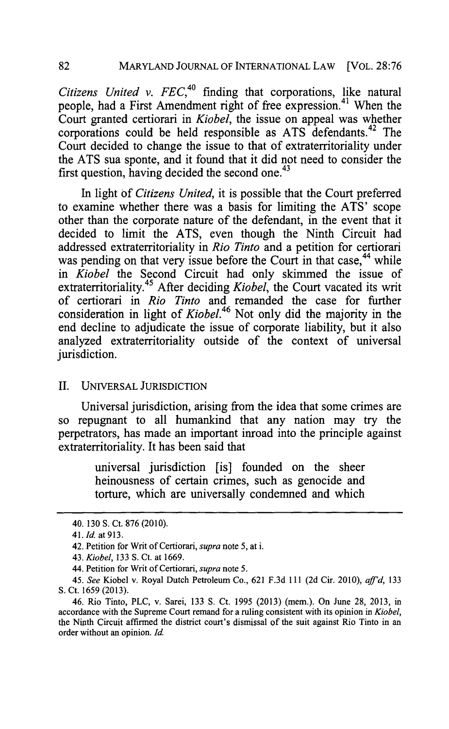*Citizens United v. FEC*,<sup>40</sup> finding that corporations, like natural people, had a First Amendment right of free expression.<sup>41</sup> When the Court granted certiorari in *Kiobel,* the issue on appeal was whether corporations could be held responsible as ATS defendants.<sup>42</sup> The Court decided to change the issue to that of extraterritoriality under the **ATS** sua sponte, and it found that it did not need to consider the first question, having decided the second one. $43$ 

In light **of** *Citizens United,* it is possible that the Court preferred to examine whether there was a basis for limiting the **ATS'** scope other than the corporate nature of the defendant, in the event that it decided to limit the **ATS,** even though the Ninth Circuit had addressed extraterritoriality in *Rio Tinto* and a petition for certiorari was pending on that very issue before the Court in that case,<sup>44</sup> while *in Kiobel* the Second Circuit had only skimmed the issue of extraterritoriality.<sup>45</sup> After deciding *Kiobel*, the Court vacated its writ of certiorari in *Rio Tinto* and remanded the case for further consideration in light of *Kiobel.46* Not only did the majority in the end decline to adjudicate the issue of corporate liability, but it also analyzed extraterritoriality outside of the context of universal jurisdiction.

### II. **UNIVERSAL JURISDICTION**

Universal jurisdiction, arising from the idea that some crimes are so repugnant to all humankind that any nation may try the perpetrators, has made an important inroad into the principle against extraterritoriality. It has been said that

> universal jurisdiction [is] founded on the sheer heinousness of certain crimes, such as genocide and torture, which are universally condemned and which

<sup>40.</sup> **130 S.** Ct. **876** (2010).

*<sup>41.</sup> Id.* at **913.**

<sup>42.</sup> Petition for Writ of Certiorari, *supra note* **5,** at i.

*<sup>43.</sup> Kiobel,* **133 S.** Ct. at **1669.**

<sup>44.</sup> Petition for Writ of Certiorari, *supra note* **5.**

*<sup>45.</sup> See* Kiobel v. Royal Dutch Petroleum Co., **621 F.3d** 111 **(2d** Cir. 2010), *af'd, <sup>133</sup>* **S.** Ct. **1659 (2013).**

<sup>46.</sup> Rio Tinto, PLC, v. Sarei, **133 S.** Ct. **1995 (2013)** (mem.). On June **28, 2013,** in accordance with the Supreme Court remand for a ruling consistent with its opinion in *Kiobel,* the Ninth Circuit affirmed the district court's dismissal of the suit against Rio Tinto in an order without an opinion. *Id.*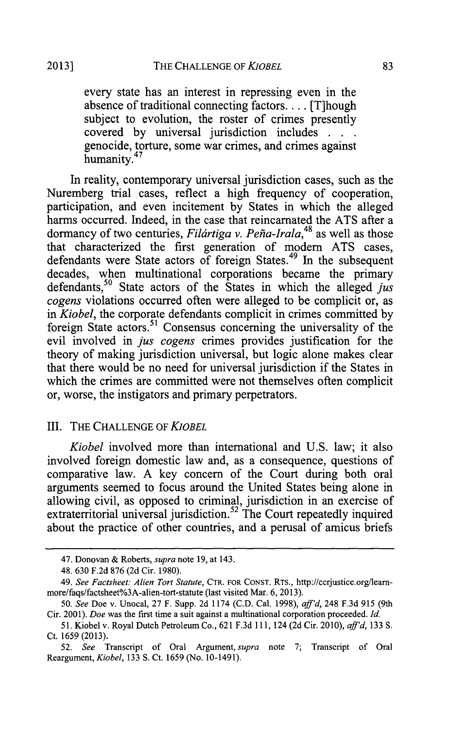every state has an interest in repressing even in the absence of traditional connecting factors.. . **.** [T]hough subject to evolution, the roster of crimes presently covered **by** universal jurisdiction includes **. . .** genocide, torture, some war crimes, and crimes against humanity.<sup>47</sup>

In reality, contemporary universal jurisdiction cases, such as the Nuremberg trial cases, reflect a high frequency of cooperation, participation, and even incitement **by** States in which the alleged harms occurred. Indeed, in the case that reincarnated the **ATS** after a dormancy of two centuries, *Filártiga v. Peña-Irala*,<sup>48</sup> as well as those that characterized the first generation of modern **ATS** cases, defendants were State actors of foreign States.<sup>49</sup> In the subsequent decades, when multinational corporations became the primary defendants,<sup>50</sup> State actors of the States in which the alleged *jus cogens* violations occurred often were alleged to be complicit or, as *in Kiobel,* the corporate defendants complicit in crimes committed **by** foreign State actors.<sup>51</sup> Consensus concerning the universality of the evil involved in *jus cogens* crimes provides justification for the theory of making jurisdiction universal, but logic alone makes clear that there would be no need for universal jurisdiction if the States in which the crimes are committed were not themselves often complicit or, worse, the instigators and primary perpetrators.

### III. THE **CHALLENGE** OF *KIOBEL*

*Kiobel* involved more than international and **U.S.** law; it also involved foreign domestic law and, as a consequence, questions of comparative law. **A** key concern of the Court during both oral arguments seemed to focus around the United States being alone in allowing civil, as opposed to criminal, jurisdiction in an exercise of extraterritorial universal jurisdiction.<sup>52</sup> The Court repeatedly inquired about the practice of other countries, and a perusal of amicus briefs

*<sup>47.</sup>* Donovan **&** Roberts, *supra* note **19,** at 143.

<sup>48.</sup> **630 F.2d 876 (2d** Cir. **1980).**

<sup>49.</sup> *See Factsheet: Alien Tort Statute,* CTR. FOR **CONST.** RTs., http://ccrjustice.org/leammore/faqs/factsheet%3A-alien-tort-statute (last visited Mar. *6,* **2013).**

*<sup>50.</sup> See* Doe v. Unocal, **27** F. Supp. **2d** 1174 **(C.D.** Cal. **1998),** *aff'd,* 248 **F.3d 915** (9th Cir. 2001). *Doe* was the first time a suit against a multinational corporation proceeded. *Id.*

*<sup>51.</sup>* Kiobel v. Royal Dutch Petroleum Co., **621 F.3d 111,** 124 **(2d** Cir. 2010), *aff'd,* **133 S.** Ct. *1659* **(2013).**

*<sup>52.</sup> See* Transcript of Oral Argument, *supra* note **7;** Transcript of Oral Reargument, *Kiobel,* **133 S.** Ct. **1659** (No. **10-1491).**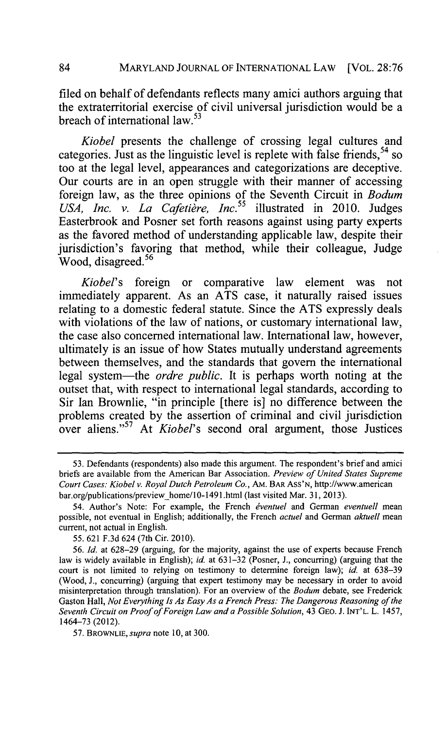filed on behalf of defendants reflects many amici authors arguing that the extraterritorial exercise of civil universal jurisdiction would be a breach of international law  $^{53}$ 

*Kiobel* presents the challenge of crossing legal cultures and categories. Just as the linguistic level is replete with false friends, <sup>54</sup>**so** too at the legal level, appearances and categorizations are deceptive. Our courts are in an open struggle with their manner of accessing foreign law, as the three opinions of the Seventh Circuit in *Bodum* USA, Inc. v. La Cafetière, Inc.<sup>55</sup> illustrated in 2010. Judges Easterbrook and Posner set forth reasons against using party experts as the favored method of understanding applicable law, despite their jurisdiction's favoring that method, while their colleague, Judge Wood, disagreed.56

*Kiobel's* foreign or comparative law element was not immediately apparent. As an **ATS** case, it naturally raised issues relating to a domestic federal statute. Since the **ATS** expressly deals with violations of the law of nations, or customary international law, the case also concerned international law. International law, however, ultimately is an issue of how States mutually understand agreements between themselves, and the standards that govern the international legal system-the *ordre public.* It is perhaps worth noting at the outset that, with respect to international legal standards, according to Sir Ian Brownlie, "in principle [there is] no difference between the problems created **by** the assertion of criminal and civil jurisdiction over aliens."57 *At Kiobel's* second oral argument, those Justices

**<sup>53.</sup>** Defendants (respondents) also made this argument. The respondent's brief and amici briefs are available from the American Bar Association. *Preview of United States Supreme Court Cases: Kiobel v. Royal Dutch Petroleum Co.,* AM. **BAR** Ass'N, http://www.american bar.org/publications/preview home/l0-1491.html (last visited Mar. **31, 2013).**

<sup>54.</sup> Author's Note: For example, the French *dventuel* and German *eventuell mean* possible, not eventual in English; additionally, the French *actuel* and German *aktuell mean* current, not actual in English.

*<sup>55.</sup>* **621 F.3d** 624 (7th Cir. 2010).

**<sup>56.</sup>** *Id.* at **628-29** (arguing, for the majority, against the use of experts because French law is widely available in English); *id.* at **631-32** (Posner, **J.,** concurring) (arguing that the court is not limited to relying on testimony to determine foreign law); *id* at **638-39** (Wood, **J.,** concurring) (arguing that expert testimony may be necessary in order to avoid misinterpretation through translation). For an overview of the *Bodum* debate, see Frederick Gaston Hall, *Not Everything Is As Easy As a French Press: The Dangerous Reasoning of the Seventh Circuit on Proof of Foreign Law and a Possible Solution,* 43 **GEO. J. INT'L.** L. 1457, 1464-73 (2012).

**<sup>57.</sup>** BROWNLIE, *supra note* **10,** at **300.**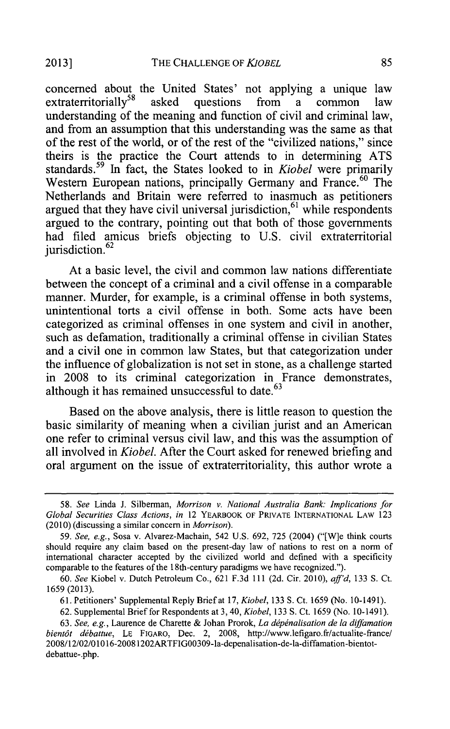concerned about the United States' not applying a unique law extraterritorially<sup>58</sup> asked questions from a common law extraterritorially<sup>58</sup> asked questions from a understanding of the meaning and function of civil and criminal law, and from an assumption that this understanding was the same as that of the rest of the world, or of the rest of the "civilized nations," since theirs is the practice the Court attends to in determining **ATS** standards. 59 In fact, the States looked to in *Kiobel* were primarily Western European nations, principally Germany and France.<sup>60</sup> The Netherlands and Britain were referred to inasmuch as petitioners argued that they have civil universal jurisdiction,  $61$  while respondents argued to the contrary, pointing out that both of those governments had filed amicus briefs objecting to **U.S.** civil extraterritorial jurisdiction. $62$ 

At a basic level, the civil and common law nations differentiate between the concept of a criminal and a civil offense in a comparable manner. Murder, for example, is a criminal offense in both systems, unintentional torts a civil offense in both. Some acts have been categorized as criminal offenses in one system and civil in another, such as defamation, traditionally a criminal offense in civilian States and a civil one in common law States, but that categorization under the influence of globalization is not set in stone, as a challenge started in **2008** to its criminal categorization in France demonstrates, although it has remained unsuccessful to date.<sup>63</sup>

Based on the above analysis, there is little reason to question the basic similarity of meaning when a civilian jurist and an American one refer to criminal versus civil law, and this was the assumption of all involved in *Kiobel.* After the Court asked for renewed briefing and oral argument on the issue of extraterritoriality, this author wrote a

*<sup>58.</sup>* See Linda **J.** Silberman, *Morrison v. National Australia* Bank: *Implications for Global Securities Class Actions,* in 12 YEARBOOK OF PRIVATE **INTERNATIONAL** LAW **123** (2010) (discussing a similar concern in *Morrison).*

*<sup>59.</sup>* See, e.g., Sosa v. Alvarez-Machain, 542 **U.S. 692, 725** (2004) ("[W]e think courts should require any claim based on the present-day law of nations to rest on a norm of international character accepted **by** the civilized world and defined with a specificity comparable to the features of the 18th-century paradigms we have recognized.").

*<sup>60.</sup> See* Kiobel v. Dutch Petroleum Co., **621 F.3d 111 (2d.** Cir. 2010), *aff'd,* **133 S.** Ct. **1659 (2013).**

**<sup>61.</sup>** Petitioners' Supplemental Reply Brief at **17,** *Kiobel,* **133 S.** Ct. **1659** (No. **10-1491).**

**<sup>62.</sup>** Supplemental Brief for Respondents at **3,** 40, Kiobel, **133 S.** Ct. **1659** (No. 10-1491).

*<sup>63.</sup> See, e.g.,* Laurence de Charette **&** Johan Prorok, *La depinalisation de la diffamation bientdt* debattue, **LE** FIGARO, Dec. 2, **2008,** http://www.lefigaro.fr/actualite-france/ 2008/12/02/01016-20081202ARTFIGOO309-la-depenalisation-de-la-diffamation-bientotdebattue-.php.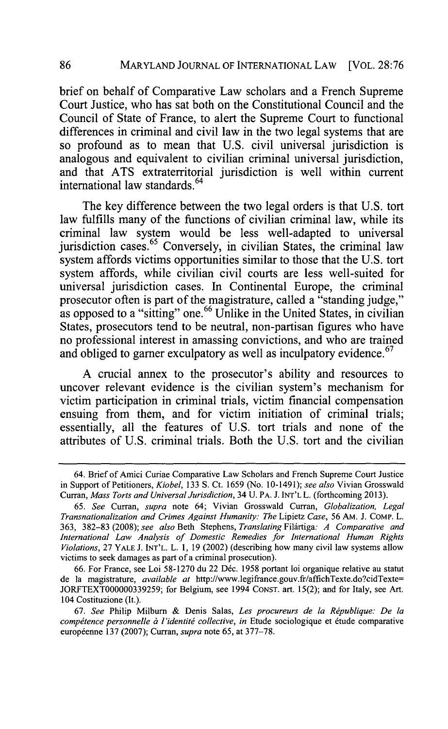brief on behalf of Comparative Law scholars and a French Supreme Court Justice, who has sat both on the Constitutional Council and the Council of State of France, to alert the Supreme Court to functional differences in criminal and civil law in the two legal systems that are so profound as to mean that **U.S.** civil universal jurisdiction is analogous and equivalent to civilian criminal universal jurisdiction, and that **ATS** extraterritorial jurisdiction is well within current international law standards. <sup>64</sup>

The key difference between the two legal orders is that **U.S.** tort law fulfills many of the functions of civilian criminal law, while its criminal law system would be less well-adapted to universal jurisdiction cases.  $65$  Conversely, in civilian States, the criminal law system affords victims opportunities similar to those that the **U.S.** tort system affords, while civilian civil courts are less well-suited for universal jurisdiction cases. In Continental Europe, the criminal prosecutor often is part of the magistrature, called a "standing judge," as opposed to a "sitting" one.<sup>66</sup> Unlike in the United States, in civilian States, prosecutors tend to be neutral, non-partisan figures who have no professional interest in amassing convictions, and who are trained and obliged to garner exculpatory as well as inculpatory evidence.<sup>67</sup>

**A** crucial annex to the prosecutor's ability and resources to uncover relevant evidence is the civilian system's mechanism for victim participation in criminal trials, victim financial compensation ensuing from them, and for victim initiation of criminal trials; essentially, all the features of **U.S.** tort trials and none of the attributes of **U.S.** criminal trials. Both the **U.S.** tort and the civilian

**86**

<sup>64.</sup> Brief of Amici Curiae Comparative Law Scholars and French Supreme Court Justice in Support of Petitioners, *Kiobel,* **133 S.** Ct. **1659** (No. 10-1491); *see also* Vivian Grosswald Curran, *Mass Torts and Universal Jurisdiction,* 34 **U.** PA. **J. INT'L** L. (forthcoming **2013).**

*<sup>65.</sup> See Curran, supra* note 64; Vivian Grosswald Curran, *Globalization, Legal Transnationalization and Crimes Against Humanity: The Lipietz Case,* **56** AM. **J.** COMP. L. **363, 382-83 (2008);** *see also* Beth Stephens, *Translating Fildrtiga: A Comparative and International Law Analysis of Domestic Remedies for International Human Rights Violations,* **27** YALE **J. INT'L.** L. **1, 19** (2002) (describing how many civil law systems allow victims to seek damages as part of a criminal prosecution).

**<sup>66.</sup>** For France, see Loi **58-1270** du 22 D6c. **1958** portant loi organique relative au statut de la magistrature, *available at* http://www.legifrance.gouv.fr/affichTexte.do?cidTexte= **JORFTEXT000000339259;** for Belgium, see 1994 **CONST.** art. **15(2);** and for Italy, see Art. 104 Costituzione (It.).

**<sup>67.</sup>** *See* Philip Milburn **&** Denis Salas, *Les procureurs de la Republique: De la compétence personnelle à l'identité collective, in Etude sociologique et étude comparative* europ6enne **137 (2007);** Curran, *supra* note **65,** at **377-78.**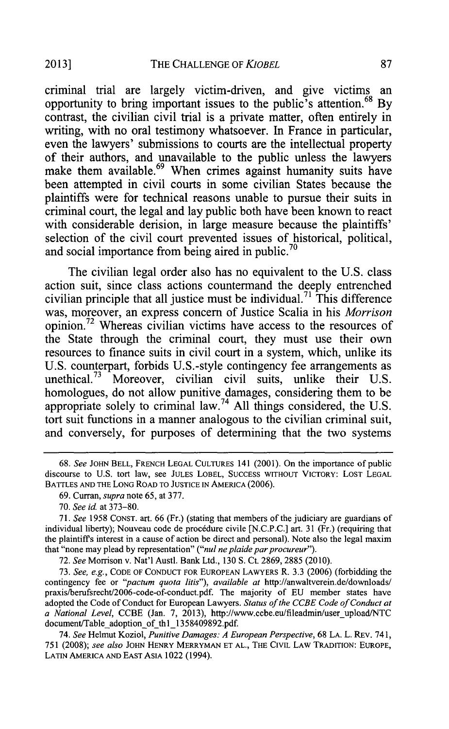criminal trial are largely victim-driven, and give victims an opportunity to bring important issues to the public's attention. <sup>68</sup>**By** contrast, the civilian civil trial is a private matter, often entirely in writing, with no oral testimony whatsoever. In France in particular, even the lawyers' submissions to courts are the intellectual property of their authors, and unavailable to the public unless the lawyers make them available.<sup>69</sup> When crimes against humanity suits have been attempted in civil courts in some civilian States because the plaintiffs were for technical reasons unable to pursue their suits in criminal court, the legal and lay public both have been known to react with considerable derision, in large measure because the plaintiffs' selection of the civil court prevented issues of historical, political, and social importance from being aired in public.<sup>70</sup>

The civilian legal order also has no equivalent to the **U.S.** class action suit, since class actions countermand the deeply entrenched civilian principle that all justice must be individual.<sup>71</sup> This difference was, moreover, an express concern of Justice Scalia in his *Morrison* opinion.<sup>72</sup> Whereas civilian victims have access to the resources of the State through the criminal court, they must use their own resources to finance suits in civil court in a system, which, unlike its **U.S.** counterpart, forbids U.S.-style contingency fee arrangements as unethical.73 Moreover, civilian civil suits, unlike their **U.S.** homologues, do not allow punitive damages, considering them to be appropriate solely to criminal law.74 **All** things considered, the **U.S.** tort suit functions in a manner analogous to the civilian criminal suit, and conversely, for purposes of determining that the two systems

**72.** *See* Morrison v. Nat'l Austl. Bank Ltd., **130 S.** Ct. **2869, 2885** (2010).

**73.** *See, e.g.,* **CODE** OF **CONDUCT** FOR **EUROPEAN** LAWYERS R. **3.3 (2006)** (forbidding the contingency fee or *"pactum quota litis"), available at* http://anwaltverein.de/downloads/ praxis/berufsrecht/2006-code-of-conduct.pdf. The majority of **EU** member states have adopted the Code of Conduct for European Lawyers. *Status of the CCBE Code of Conduct at a National Level,* **CCBE** (Jan. **7, 2013),** http://www.ccbe.eulfileadmin/user\_upload/NTC document/Table adoption of thl 1358409892.pdf.

*74. See* Helmut Koziol, *Punitive Damages: A European Perspective,* **68 LA.** L. REV. **741, 751 (2008);** *see also* **JOHN** HENRY MERRYMAN **ET AL.,** THE CIVIL LAW TRADITION: **EUROPE,** LATIN AMERICA **AND EAST** ASIA 1022 (1994).

*<sup>68.</sup> See* JOHN BELL, FRENCH **LEGAL CULTURES** 141 (2001). On the importance of public discourse to **U.S.** tort law, see **JULES** LOBEL, **SUCCESS** WITHOUT VICTORY: LOST **LEGAL** BATTLES **AND** THE **LONG** ROAD TO **JUSTICE IN AMERICA (2006).**

**<sup>69.</sup>** Curran, *supra* note **65,** at **377.**

*<sup>70.</sup> See id.* at **373-80.**

*<sup>71.</sup> See 1958* **CONST.** art. *66* (Fr.) (stating that members of the judiciary are guardians of individual liberty); Nouveau code de proc6dure civile **[N.C.P.C.]** art. **31** (Fr.) (requiring that the plaintiffs interest in a cause of action be direct and personal). Note also the legal maxim that "none may plead by representation" *("nul ne plaide par procureur*").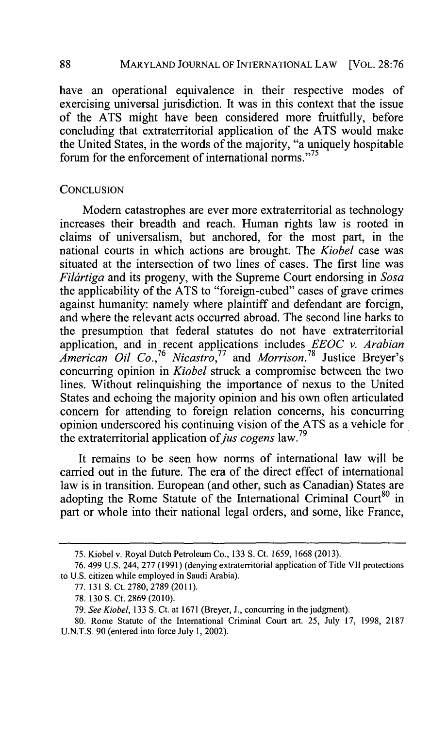MARYLAND **JOURNAL** OF **INTERNATIONAL** LAW [VOL. **28:76**

have an operational equivalence in their respective modes of exercising universal jurisdiction. It was in this context that the issue of the **ATS** might have been considered more fruitfully, before concluding that extraterritorial application of the **ATS** would make the United States, in the words of the majority, "a uniquely hospitable forum for the enforcement of international norms."<sup>75</sup>

#### **CONCLUSION**

Modern catastrophes are ever more extraterritorial as technology increases their breadth and reach. Human rights law is rooted in claims of universalism, but anchored, for the most part, in the national courts in which actions are brought. The *Kiobel* case was situated at the intersection of two lines of cases. The first line was *Filartiga* and its progeny, with the Supreme Court endorsing in *Sosa* the applicability of the **ATS** to "foreign-cubed" cases of grave crimes against humanity: namely where plaintiff and defendant are foreign, and where the relevant acts occurred abroad. The second line harks to the presumption that federal statutes do not have extraterritorial application, and in recent applications includes *EEOC v. Arabian American Oil Co., <sup>76</sup>Nicastro,77 and Morrison.78* Justice Breyer's concurring opinion in *Kiobel* struck a compromise between the two lines. Without relinquishing the importance of nexus to the United States and echoing the majority opinion and his own often articulated concern for attending to foreign relation concerns, his concurring opinion underscored his continuing vision of the **ATS** as a vehicle for the extraterritorial application of *jus cogens* law.<sup>79</sup>

It remains to be seen how norms of international law will be carried out in the future. The era of the direct effect of international law is in transition. European (and other, such as Canadian) States are adopting the Rome Statute of the International Criminal Court<sup>80</sup> in part or whole into their national legal orders, and some, like France,

**88**

**<sup>75.</sup>** Kiobel v. Royal Dutch Petroleum Co., **133 S.** Ct. **1659, 1668 (2013).**

**<sup>76.</sup>** 499 **U.S.** 244, **277 (1991)** (denying extraterritorial application of Title VII protections to **U.S.** citizen while employed in Saudi Arabia).

**<sup>77. 131</sup> S.** Ct. **2780, 2789 (2011).**

**<sup>78. 130</sup> S.** Ct. **2869** (2010).

**<sup>79.</sup>** *See Kiobel,* **133 S.** Ct. at **1671** (Breyer, **J.,** concurring in the judgment).

**<sup>80.</sup>** Rome Statute of the International Criminal Court art. **25,** July **17, 1998, 2187 U.N.T.S. 90** (entered into force July **1,** 2002).